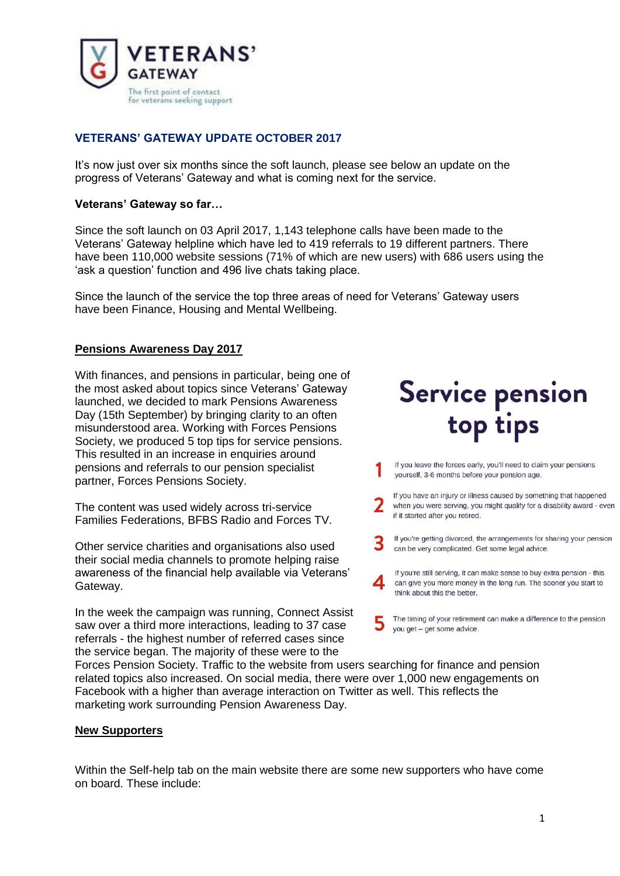

## **VETERANS' GATEWAY UPDATE OCTOBER 2017**

It's now just over six months since the soft launch, please see below an update on the progress of Veterans' Gateway and what is coming next for the service.

### **Veterans' Gateway so far…**

Since the soft launch on 03 April 2017, 1,143 telephone calls have been made to the Veterans' Gateway helpline which have led to 419 referrals to 19 different partners. There have been 110,000 website sessions (71% of which are new users) with 686 users using the 'ask a question' function and 496 live chats taking place.

Since the launch of the service the top three areas of need for Veterans' Gateway users have been Finance, Housing and Mental Wellbeing.

### **Pensions Awareness Day 2017**

With finances, and pensions in particular, being one of the most asked about topics since Veterans' Gateway launched, we decided to mark Pensions Awareness Day (15th September) by bringing clarity to an often misunderstood area. Working with Forces Pensions Society, we produced 5 top tips for service pensions. This resulted in an increase in enquiries around pensions and referrals to our pension specialist partner, Forces Pensions Society.

The content was used widely across tri-service Families Federations, BFBS Radio and Forces TV.

Other service charities and organisations also used their social media channels to promote helping raise awareness of the financial help available via Veterans' Gateway.

In the week the campaign was running, Connect Assist saw over a third more interactions, leading to 37 case referrals - the highest number of referred cases since the service began. The majority of these were to the

# Service pension top tips

- If you leave the forces early, you'll need to claim your pensions yourself, 3-6 months before your pension age.
- If you have an injury or illness caused by something that happened when you were serving, you might qualify for a disability award - even if it started after you retired.
- If you're getting divorced, the arrangements for sharing your pension can be very complicated. Get some legal advice.
- If you're still serving, it can make sense to buy extra pension this can give you more money in the long run. The sooner you start to think about this the better.
- The timing of your retirement can make a difference to the pension you get - get some advice.

Forces Pension Society. Traffic to the website from users searching for finance and pension related topics also increased. On social media, there were over 1,000 new engagements on Facebook with a higher than average interaction on Twitter as well. This reflects the marketing work surrounding Pension Awareness Day.

#### **New Supporters**

Within the Self-help tab on the main website there are some new supporters who have come on board. These include: